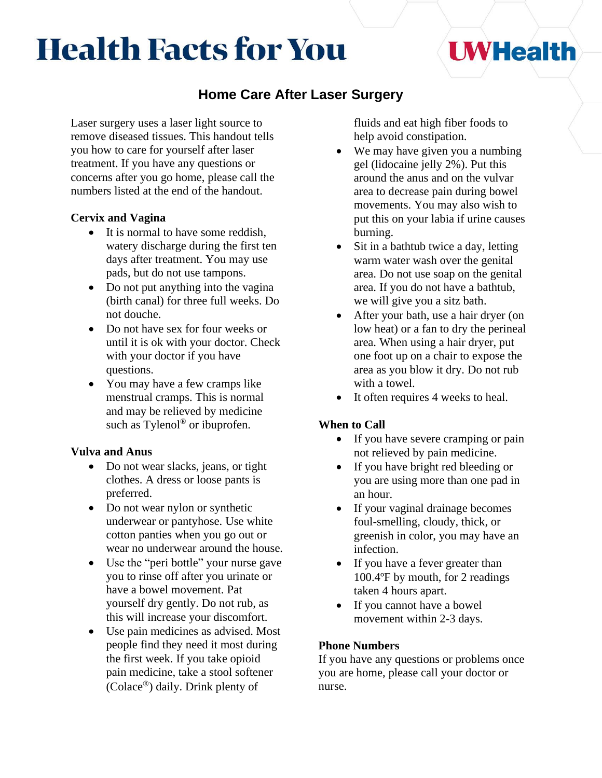# **Health Facts for You**

## **Home Care After Laser Surgery**

Laser surgery uses a laser light source to remove diseased tissues. This handout tells you how to care for yourself after laser treatment. If you have any questions or concerns after you go home, please call the numbers listed at the end of the handout.

### **Cervix and Vagina**

- It is normal to have some reddish, watery discharge during the first ten days after treatment. You may use pads, but do not use tampons.
- Do not put anything into the vagina (birth canal) for three full weeks. Do not douche.
- Do not have sex for four weeks or until it is ok with your doctor. Check with your doctor if you have questions.
- You may have a few cramps like menstrual cramps. This is normal and may be relieved by medicine such as Tylenol<sup>®</sup> or ibuprofen.

### **Vulva and Anus**

- Do not wear slacks, jeans, or tight clothes. A dress or loose pants is preferred.
- Do not wear nylon or synthetic underwear or pantyhose. Use white cotton panties when you go out or wear no underwear around the house.
- Use the "peri bottle" your nurse gave you to rinse off after you urinate or have a bowel movement. Pat yourself dry gently. Do not rub, as this will increase your discomfort.
- Use pain medicines as advised. Most people find they need it most during the first week. If you take opioid pain medicine, take a stool softener (Colace<sup>®</sup>) daily. Drink plenty of

fluids and eat high fiber foods to help avoid constipation.

**UWHealth** 

- We may have given you a numbing gel (lidocaine jelly 2%). Put this around the anus and on the vulvar area to decrease pain during bowel movements. You may also wish to put this on your labia if urine causes burning.
- Sit in a bathtub twice a day, letting warm water wash over the genital area. Do not use soap on the genital area. If you do not have a bathtub, we will give you a sitz bath.
- After your bath, use a hair dryer (on low heat) or a fan to dry the perineal area. When using a hair dryer, put one foot up on a chair to expose the area as you blow it dry. Do not rub with a towel.
- It often requires 4 weeks to heal.

### **When to Call**

- If you have severe cramping or pain not relieved by pain medicine.
- If you have bright red bleeding or you are using more than one pad in an hour.
- If your vaginal drainage becomes foul-smelling, cloudy, thick, or greenish in color, you may have an infection.
- If you have a fever greater than 100.4ºF by mouth, for 2 readings taken 4 hours apart.
- If you cannot have a bowel movement within 2-3 days.

### **Phone Numbers**

If you have any questions or problems once you are home, please call your doctor or nurse.